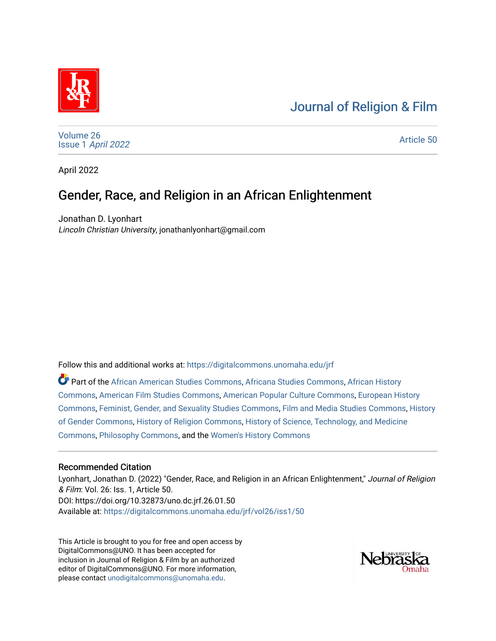# [Journal of Religion & Film](https://digitalcommons.unomaha.edu/jrf)



[Volume 26](https://digitalcommons.unomaha.edu/jrf/vol26) Issue 1 [April 2022](https://digitalcommons.unomaha.edu/jrf/vol26/iss1) 

[Article 50](https://digitalcommons.unomaha.edu/jrf/vol26/iss1/50) 

April 2022

# Gender, Race, and Religion in an African Enlightenment

Jonathan D. Lyonhart Lincoln Christian University, jonathanlyonhart@gmail.com

Follow this and additional works at: [https://digitalcommons.unomaha.edu/jrf](https://digitalcommons.unomaha.edu/jrf?utm_source=digitalcommons.unomaha.edu%2Fjrf%2Fvol26%2Fiss1%2F50&utm_medium=PDF&utm_campaign=PDFCoverPages)

Part of the [African American Studies Commons,](http://network.bepress.com/hgg/discipline/567?utm_source=digitalcommons.unomaha.edu%2Fjrf%2Fvol26%2Fiss1%2F50&utm_medium=PDF&utm_campaign=PDFCoverPages) [Africana Studies Commons,](http://network.bepress.com/hgg/discipline/1418?utm_source=digitalcommons.unomaha.edu%2Fjrf%2Fvol26%2Fiss1%2F50&utm_medium=PDF&utm_campaign=PDFCoverPages) [African History](http://network.bepress.com/hgg/discipline/490?utm_source=digitalcommons.unomaha.edu%2Fjrf%2Fvol26%2Fiss1%2F50&utm_medium=PDF&utm_campaign=PDFCoverPages) [Commons](http://network.bepress.com/hgg/discipline/490?utm_source=digitalcommons.unomaha.edu%2Fjrf%2Fvol26%2Fiss1%2F50&utm_medium=PDF&utm_campaign=PDFCoverPages), [American Film Studies Commons](http://network.bepress.com/hgg/discipline/440?utm_source=digitalcommons.unomaha.edu%2Fjrf%2Fvol26%2Fiss1%2F50&utm_medium=PDF&utm_campaign=PDFCoverPages), [American Popular Culture Commons,](http://network.bepress.com/hgg/discipline/443?utm_source=digitalcommons.unomaha.edu%2Fjrf%2Fvol26%2Fiss1%2F50&utm_medium=PDF&utm_campaign=PDFCoverPages) [European History](http://network.bepress.com/hgg/discipline/492?utm_source=digitalcommons.unomaha.edu%2Fjrf%2Fvol26%2Fiss1%2F50&utm_medium=PDF&utm_campaign=PDFCoverPages) [Commons](http://network.bepress.com/hgg/discipline/492?utm_source=digitalcommons.unomaha.edu%2Fjrf%2Fvol26%2Fiss1%2F50&utm_medium=PDF&utm_campaign=PDFCoverPages), [Feminist, Gender, and Sexuality Studies Commons](http://network.bepress.com/hgg/discipline/559?utm_source=digitalcommons.unomaha.edu%2Fjrf%2Fvol26%2Fiss1%2F50&utm_medium=PDF&utm_campaign=PDFCoverPages), [Film and Media Studies Commons](http://network.bepress.com/hgg/discipline/563?utm_source=digitalcommons.unomaha.edu%2Fjrf%2Fvol26%2Fiss1%2F50&utm_medium=PDF&utm_campaign=PDFCoverPages), [History](http://network.bepress.com/hgg/discipline/498?utm_source=digitalcommons.unomaha.edu%2Fjrf%2Fvol26%2Fiss1%2F50&utm_medium=PDF&utm_campaign=PDFCoverPages)  [of Gender Commons](http://network.bepress.com/hgg/discipline/498?utm_source=digitalcommons.unomaha.edu%2Fjrf%2Fvol26%2Fiss1%2F50&utm_medium=PDF&utm_campaign=PDFCoverPages), [History of Religion Commons,](http://network.bepress.com/hgg/discipline/499?utm_source=digitalcommons.unomaha.edu%2Fjrf%2Fvol26%2Fiss1%2F50&utm_medium=PDF&utm_campaign=PDFCoverPages) [History of Science, Technology, and Medicine](http://network.bepress.com/hgg/discipline/500?utm_source=digitalcommons.unomaha.edu%2Fjrf%2Fvol26%2Fiss1%2F50&utm_medium=PDF&utm_campaign=PDFCoverPages) [Commons](http://network.bepress.com/hgg/discipline/500?utm_source=digitalcommons.unomaha.edu%2Fjrf%2Fvol26%2Fiss1%2F50&utm_medium=PDF&utm_campaign=PDFCoverPages), [Philosophy Commons](http://network.bepress.com/hgg/discipline/525?utm_source=digitalcommons.unomaha.edu%2Fjrf%2Fvol26%2Fiss1%2F50&utm_medium=PDF&utm_campaign=PDFCoverPages), and the [Women's History Commons](http://network.bepress.com/hgg/discipline/507?utm_source=digitalcommons.unomaha.edu%2Fjrf%2Fvol26%2Fiss1%2F50&utm_medium=PDF&utm_campaign=PDFCoverPages)

#### Recommended Citation

Lyonhart, Jonathan D. (2022) "Gender, Race, and Religion in an African Enlightenment," Journal of Religion & Film: Vol. 26: Iss. 1, Article 50. DOI: https://doi.org/10.32873/uno.dc.jrf.26.01.50 Available at: [https://digitalcommons.unomaha.edu/jrf/vol26/iss1/50](https://digitalcommons.unomaha.edu/jrf/vol26/iss1/50?utm_source=digitalcommons.unomaha.edu%2Fjrf%2Fvol26%2Fiss1%2F50&utm_medium=PDF&utm_campaign=PDFCoverPages) 

This Article is brought to you for free and open access by DigitalCommons@UNO. It has been accepted for inclusion in Journal of Religion & Film by an authorized editor of DigitalCommons@UNO. For more information, please contact [unodigitalcommons@unomaha.edu.](mailto:unodigitalcommons@unomaha.edu)

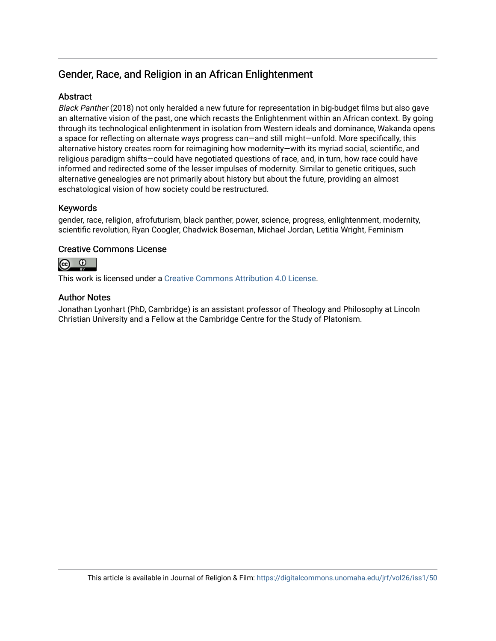## Gender, Race, and Religion in an African Enlightenment

### **Abstract**

Black Panther (2018) not only heralded a new future for representation in big-budget films but also gave an alternative vision of the past, one which recasts the Enlightenment within an African context. By going through its technological enlightenment in isolation from Western ideals and dominance, Wakanda opens a space for reflecting on alternate ways progress can—and still might—unfold. More specifically, this alternative history creates room for reimagining how modernity—with its myriad social, scientific, and religious paradigm shifts—could have negotiated questions of race, and, in turn, how race could have informed and redirected some of the lesser impulses of modernity. Similar to genetic critiques, such alternative genealogies are not primarily about history but about the future, providing an almost eschatological vision of how society could be restructured.

### Keywords

gender, race, religion, afrofuturism, black panther, power, science, progress, enlightenment, modernity, scientific revolution, Ryan Coogler, Chadwick Boseman, Michael Jordan, Letitia Wright, Feminism

### Creative Commons License



This work is licensed under a [Creative Commons Attribution 4.0 License](https://creativecommons.org/licenses/by/4.0/).

#### Author Notes

Jonathan Lyonhart (PhD, Cambridge) is an assistant professor of Theology and Philosophy at Lincoln Christian University and a Fellow at the Cambridge Centre for the Study of Platonism.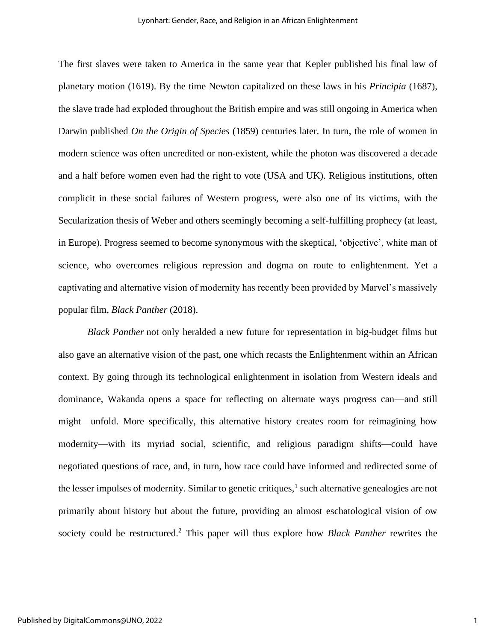The first slaves were taken to America in the same year that Kepler published his final law of planetary motion (1619). By the time Newton capitalized on these laws in his *Principia* (1687), the slave trade had exploded throughout the British empire and was still ongoing in America when Darwin published *On the Origin of Species* (1859) centuries later. In turn, the role of women in modern science was often uncredited or non-existent, while the photon was discovered a decade and a half before women even had the right to vote (USA and UK). Religious institutions, often complicit in these social failures of Western progress, were also one of its victims, with the Secularization thesis of Weber and others seemingly becoming a self-fulfilling prophecy (at least, in Europe). Progress seemed to become synonymous with the skeptical, 'objective', white man of science, who overcomes religious repression and dogma on route to enlightenment. Yet a captivating and alternative vision of modernity has recently been provided by Marvel's massively popular film, *Black Panther* (2018).

*Black Panther* not only heralded a new future for representation in big-budget films but also gave an alternative vision of the past, one which recasts the Enlightenment within an African context. By going through its technological enlightenment in isolation from Western ideals and dominance, Wakanda opens a space for reflecting on alternate ways progress can—and still might—unfold. More specifically, this alternative history creates room for reimagining how modernity—with its myriad social, scientific, and religious paradigm shifts—could have negotiated questions of race, and, in turn, how race could have informed and redirected some of the lesser impulses of modernity. Similar to genetic critiques,<sup>1</sup> such alternative genealogies are not primarily about history but about the future, providing an almost eschatological vision of ow society could be restructured.<sup>2</sup> This paper will thus explore how *Black Panther* rewrites the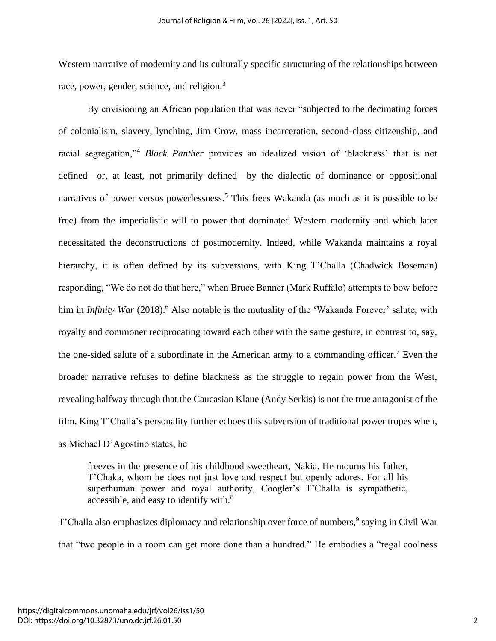Western narrative of modernity and its culturally specific structuring of the relationships between race, power, gender, science, and religion.<sup>3</sup>

By envisioning an African population that was never "subjected to the decimating forces of colonialism, slavery, lynching, Jim Crow, mass incarceration, second-class citizenship, and racial segregation,"<sup>4</sup> *Black Panther* provides an idealized vision of 'blackness' that is not defined—or, at least, not primarily defined—by the dialectic of dominance or oppositional narratives of power versus powerlessness.<sup>5</sup> This frees Wakanda (as much as it is possible to be free) from the imperialistic will to power that dominated Western modernity and which later necessitated the deconstructions of postmodernity. Indeed, while Wakanda maintains a royal hierarchy, it is often defined by its subversions, with King T'Challa (Chadwick Boseman) responding, "We do not do that here," when Bruce Banner (Mark Ruffalo) attempts to bow before him in *Infinity War* (2018).<sup>6</sup> Also notable is the mutuality of the 'Wakanda Forever' salute, with royalty and commoner reciprocating toward each other with the same gesture, in contrast to, say, the one-sided salute of a subordinate in the American army to a commanding officer.<sup>7</sup> Even the broader narrative refuses to define blackness as the struggle to regain power from the West, revealing halfway through that the Caucasian Klaue (Andy Serkis) is not the true antagonist of the film. King T'Challa's personality further echoes this subversion of traditional power tropes when, as Michael D'Agostino states, he

freezes in the presence of his childhood sweetheart, Nakia. He mourns his father, T'Chaka, whom he does not just love and respect but openly adores. For all his superhuman power and royal authority, Coogler's T'Challa is sympathetic, accessible, and easy to identify with.<sup>8</sup>

T'Challa also emphasizes diplomacy and relationship over force of numbers,<sup>9</sup> saying in Civil War that "two people in a room can get more done than a hundred." He embodies a "regal coolness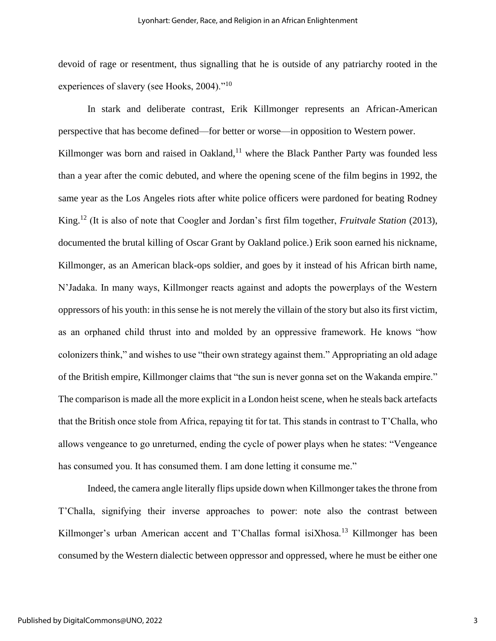devoid of rage or resentment, thus signalling that he is outside of any patriarchy rooted in the experiences of slavery (see Hooks, 2004)."<sup>10</sup>

In stark and deliberate contrast, Erik Killmonger represents an African-American perspective that has become defined—for better or worse—in opposition to Western power. Killmonger was born and raised in Oakland, $11$  where the Black Panther Party was founded less than a year after the comic debuted, and where the opening scene of the film begins in 1992, the same year as the Los Angeles riots after white police officers were pardoned for beating Rodney King.<sup>12</sup> (It is also of note that Coogler and Jordan's first film together, *Fruitvale Station* (2013), documented the brutal killing of Oscar Grant by Oakland police.) Erik soon earned his nickname, Killmonger, as an American black-ops soldier, and goes by it instead of his African birth name, N'Jadaka. In many ways, Killmonger reacts against and adopts the powerplays of the Western oppressors of his youth: in this sense he is not merely the villain of the story but also its first victim, as an orphaned child thrust into and molded by an oppressive framework. He knows "how colonizers think," and wishes to use "their own strategy against them." Appropriating an old adage of the British empire, Killmonger claims that "the sun is never gonna set on the Wakanda empire." The comparison is made all the more explicit in a London heist scene, when he steals back artefacts that the British once stole from Africa, repaying tit for tat. This stands in contrast to T'Challa, who allows vengeance to go unreturned, ending the cycle of power plays when he states: "Vengeance has consumed you. It has consumed them. I am done letting it consume me."

Indeed, the camera angle literally flips upside down when Killmonger takes the throne from T'Challa, signifying their inverse approaches to power: note also the contrast between Killmonger's urban American accent and T'Challas formal isiXhosa.<sup>13</sup> Killmonger has been consumed by the Western dialectic between oppressor and oppressed, where he must be either one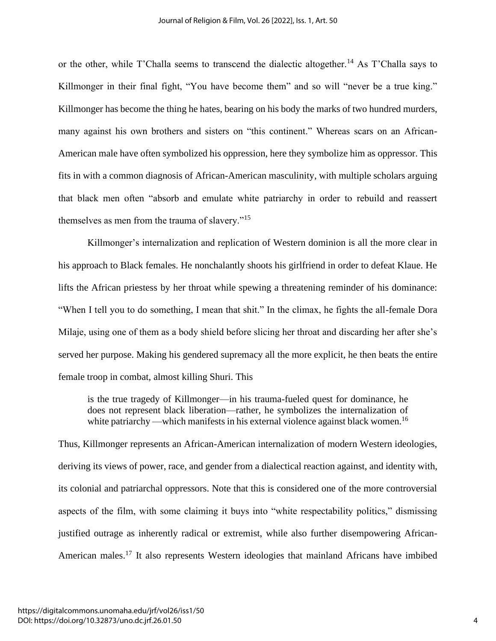or the other, while T'Challa seems to transcend the dialectic altogether.<sup>14</sup> As T'Challa says to Killmonger in their final fight, "You have become them" and so will "never be a true king." Killmonger has become the thing he hates, bearing on his body the marks of two hundred murders, many against his own brothers and sisters on "this continent." Whereas scars on an African-American male have often symbolized his oppression, here they symbolize him as oppressor. This fits in with a common diagnosis of African-American masculinity, with multiple scholars arguing that black men often "absorb and emulate white patriarchy in order to rebuild and reassert themselves as men from the trauma of slavery."<sup>15</sup>

Killmonger's internalization and replication of Western dominion is all the more clear in his approach to Black females. He nonchalantly shoots his girlfriend in order to defeat Klaue. He lifts the African priestess by her throat while spewing a threatening reminder of his dominance: "When I tell you to do something, I mean that shit." In the climax, he fights the all-female Dora Milaje, using one of them as a body shield before slicing her throat and discarding her after she's served her purpose. Making his gendered supremacy all the more explicit, he then beats the entire female troop in combat, almost killing Shuri. This

is the true tragedy of Killmonger—in his trauma-fueled quest for dominance, he does not represent black liberation—rather, he symbolizes the internalization of white patriarchy —which manifests in his external violence against black women.<sup>16</sup>

Thus, Killmonger represents an African-American internalization of modern Western ideologies, deriving its views of power, race, and gender from a dialectical reaction against, and identity with, its colonial and patriarchal oppressors. Note that this is considered one of the more controversial aspects of the film, with some claiming it buys into "white respectability politics," dismissing justified outrage as inherently radical or extremist, while also further disempowering African-American males.<sup>17</sup> It also represents Western ideologies that mainland Africans have imbibed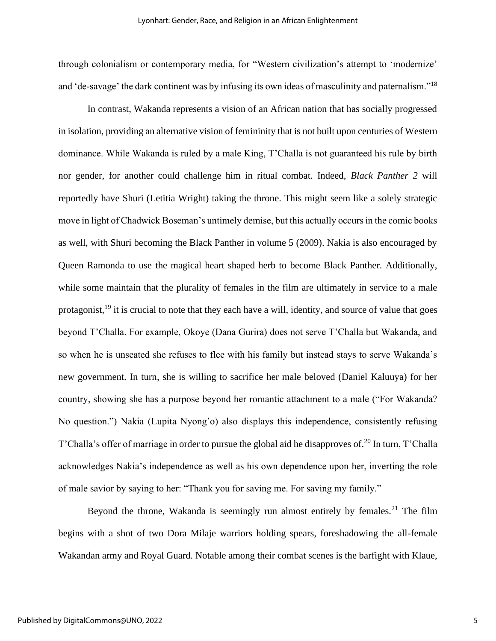through colonialism or contemporary media, for "Western civilization's attempt to 'modernize' and 'de-savage' the dark continent was by infusing its own ideas of masculinity and paternalism."<sup>18</sup>

In contrast, Wakanda represents a vision of an African nation that has socially progressed in isolation, providing an alternative vision of femininity that is not built upon centuries of Western dominance. While Wakanda is ruled by a male King, T'Challa is not guaranteed his rule by birth nor gender, for another could challenge him in ritual combat. Indeed, *Black Panther 2* will reportedly have Shuri (Letitia Wright) taking the throne. This might seem like a solely strategic move in light of Chadwick Boseman's untimely demise, but this actually occurs in the comic books as well, with Shuri becoming the Black Panther in volume 5 (2009). Nakia is also encouraged by Queen Ramonda to use the magical heart shaped herb to become Black Panther. Additionally, while some maintain that the plurality of females in the film are ultimately in service to a male protagonist,<sup>19</sup> it is crucial to note that they each have a will, identity, and source of value that goes beyond T'Challa. For example, Okoye (Dana Gurira) does not serve T'Challa but Wakanda, and so when he is unseated she refuses to flee with his family but instead stays to serve Wakanda's new government. In turn, she is willing to sacrifice her male beloved (Daniel Kaluuya) for her country, showing she has a purpose beyond her romantic attachment to a male ("For Wakanda? No question.") Nakia (Lupita Nyong'o) also displays this independence, consistently refusing T'Challa's offer of marriage in order to pursue the global aid he disapproves of.<sup>20</sup> In turn, T'Challa acknowledges Nakia's independence as well as his own dependence upon her, inverting the role of male savior by saying to her: "Thank you for saving me. For saving my family."

Beyond the throne, Wakanda is seemingly run almost entirely by females.<sup>21</sup> The film begins with a shot of two Dora Milaje warriors holding spears, foreshadowing the all-female Wakandan army and Royal Guard. Notable among their combat scenes is the barfight with Klaue,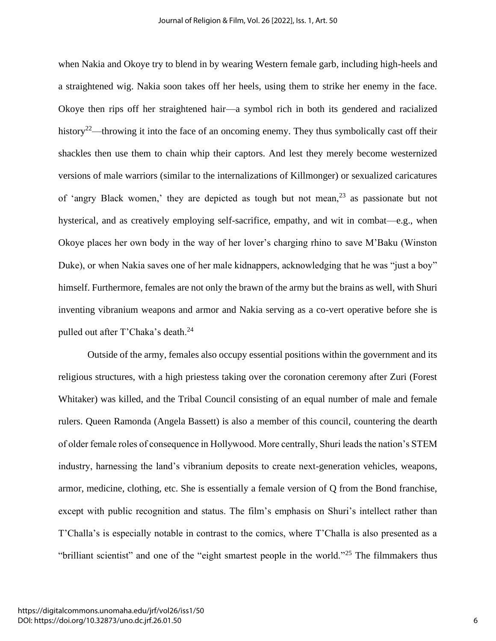when Nakia and Okoye try to blend in by wearing Western female garb, including high-heels and a straightened wig. Nakia soon takes off her heels, using them to strike her enemy in the face. Okoye then rips off her straightened hair—a symbol rich in both its gendered and racialized history<sup>22</sup>—throwing it into the face of an oncoming enemy. They thus symbolically cast off their shackles then use them to chain whip their captors. And lest they merely become westernized versions of male warriors (similar to the internalizations of Killmonger) or sexualized caricatures of 'angry Black women,' they are depicted as tough but not mean, $^{23}$  as passionate but not hysterical, and as creatively employing self-sacrifice, empathy, and wit in combat—e.g., when Okoye places her own body in the way of her lover's charging rhino to save M'Baku (Winston Duke), or when Nakia saves one of her male kidnappers, acknowledging that he was "just a boy" himself. Furthermore, females are not only the brawn of the army but the brains as well, with Shuri inventing vibranium weapons and armor and Nakia serving as a co-vert operative before she is pulled out after T'Chaka's death.<sup>24</sup>

Outside of the army, females also occupy essential positions within the government and its religious structures, with a high priestess taking over the coronation ceremony after Zuri (Forest Whitaker) was killed, and the Tribal Council consisting of an equal number of male and female rulers. Queen Ramonda (Angela Bassett) is also a member of this council, countering the dearth of older female roles of consequence in Hollywood. More centrally, Shuri leads the nation's STEM industry, harnessing the land's vibranium deposits to create next-generation vehicles, weapons, armor, medicine, clothing, etc. She is essentially a female version of Q from the Bond franchise, except with public recognition and status. The film's emphasis on Shuri's intellect rather than T'Challa's is especially notable in contrast to the comics, where T'Challa is also presented as a "brilliant scientist" and one of the "eight smartest people in the world."<sup>25</sup> The filmmakers thus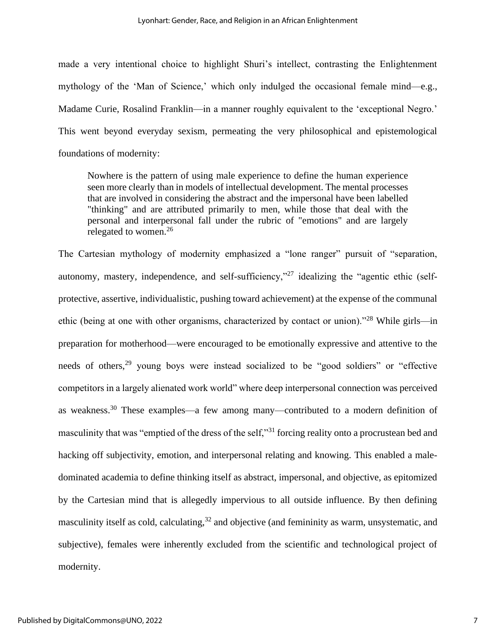made a very intentional choice to highlight Shuri's intellect, contrasting the Enlightenment mythology of the 'Man of Science,' which only indulged the occasional female mind—e.g., Madame Curie, Rosalind Franklin—in a manner roughly equivalent to the 'exceptional Negro.' This went beyond everyday sexism, permeating the very philosophical and epistemological foundations of modernity:

Nowhere is the pattern of using male experience to define the human experience seen more clearly than in models of intellectual development. The mental processes that are involved in considering the abstract and the impersonal have been labelled "thinking" and are attributed primarily to men, while those that deal with the personal and interpersonal fall under the rubric of "emotions" and are largely relegated to women.<sup>26</sup>

The Cartesian mythology of modernity emphasized a "lone ranger" pursuit of "separation, autonomy, mastery, independence, and self-sufficiency,"<sup>27</sup> idealizing the "agentic ethic (selfprotective, assertive, individualistic, pushing toward achievement) at the expense of the communal ethic (being at one with other organisms, characterized by contact or union)."<sup>28</sup> While girls—in preparation for motherhood—were encouraged to be emotionally expressive and attentive to the needs of others,<sup>29</sup> young boys were instead socialized to be "good soldiers" or "effective competitors in a largely alienated work world" where deep interpersonal connection was perceived as weakness.<sup>30</sup> These examples—a few among many—contributed to a modern definition of masculinity that was "emptied of the dress of the self,"<sup>31</sup> forcing reality onto a procrustean bed and hacking off subjectivity, emotion, and interpersonal relating and knowing. This enabled a maledominated academia to define thinking itself as abstract, impersonal, and objective, as epitomized by the Cartesian mind that is allegedly impervious to all outside influence. By then defining masculinity itself as cold, calculating,<sup>32</sup> and objective (and femininity as warm, unsystematic, and subjective), females were inherently excluded from the scientific and technological project of modernity.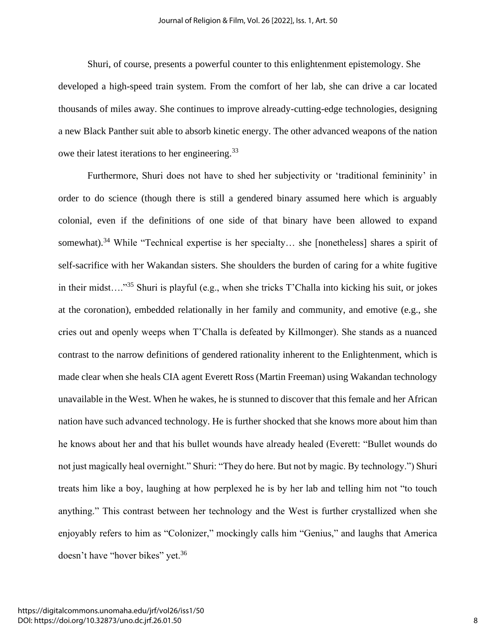Shuri, of course, presents a powerful counter to this enlightenment epistemology. She developed a high-speed train system. From the comfort of her lab, she can drive a car located thousands of miles away. She continues to improve already-cutting-edge technologies, designing a new Black Panther suit able to absorb kinetic energy. The other advanced weapons of the nation owe their latest iterations to her engineering.<sup>33</sup>

Furthermore, Shuri does not have to shed her subjectivity or 'traditional femininity' in order to do science (though there is still a gendered binary assumed here which is arguably colonial, even if the definitions of one side of that binary have been allowed to expand somewhat).<sup>34</sup> While "Technical expertise is her specialty... she [nonetheless] shares a spirit of self-sacrifice with her Wakandan sisters. She shoulders the burden of caring for a white fugitive in their midst…."<sup>35</sup> Shuri is playful (e.g., when she tricks T'Challa into kicking his suit, or jokes at the coronation), embedded relationally in her family and community, and emotive (e.g., she cries out and openly weeps when T'Challa is defeated by Killmonger). She stands as a nuanced contrast to the narrow definitions of gendered rationality inherent to the Enlightenment, which is made clear when she heals CIA agent Everett Ross (Martin Freeman) using Wakandan technology unavailable in the West. When he wakes, he is stunned to discover that this female and her African nation have such advanced technology. He is further shocked that she knows more about him than he knows about her and that his bullet wounds have already healed (Everett: "Bullet wounds do not just magically heal overnight." Shuri: "They do here. But not by magic. By technology.") Shuri treats him like a boy, laughing at how perplexed he is by her lab and telling him not "to touch anything." This contrast between her technology and the West is further crystallized when she enjoyably refers to him as "Colonizer," mockingly calls him "Genius," and laughs that America doesn't have "hover bikes" yet.<sup>36</sup>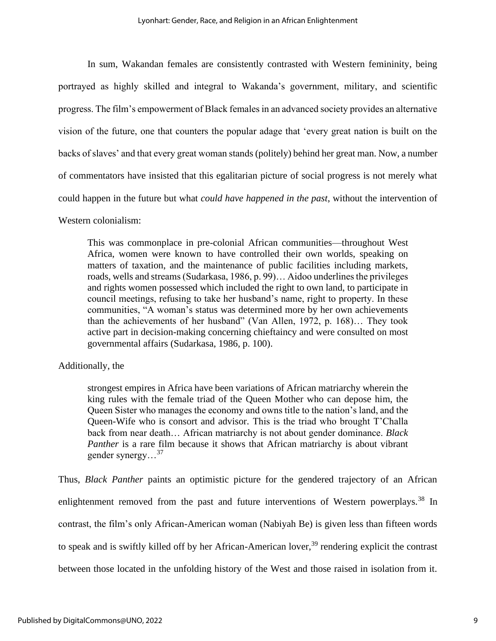In sum, Wakandan females are consistently contrasted with Western femininity, being portrayed as highly skilled and integral to Wakanda's government, military, and scientific progress. The film's empowerment of Black females in an advanced society provides an alternative vision of the future, one that counters the popular adage that 'every great nation is built on the backs of slaves' and that every great woman stands (politely) behind her great man. Now, a number of commentators have insisted that this egalitarian picture of social progress is not merely what could happen in the future but what *could have happened in the past*, without the intervention of

Western colonialism:

This was commonplace in pre-colonial African communities—throughout West Africa, women were known to have controlled their own worlds, speaking on matters of taxation, and the maintenance of public facilities including markets, roads, wells and streams (Sudarkasa, 1986, p. 99)… Aidoo underlines the privileges and rights women possessed which included the right to own land, to participate in council meetings, refusing to take her husband's name, right to property. In these communities, "A woman's status was determined more by her own achievements than the achievements of her husband" (Van Allen, 1972, p. 168)… They took active part in decision-making concerning chieftaincy and were consulted on most governmental affairs (Sudarkasa, 1986, p. 100).

#### Additionally, the

strongest empires in Africa have been variations of African matriarchy wherein the king rules with the female triad of the Queen Mother who can depose him, the Queen Sister who manages the economy and owns title to the nation's land, and the Queen-Wife who is consort and advisor. This is the triad who brought T'Challa back from near death… African matriarchy is not about gender dominance. *Black Panther* is a rare film because it shows that African matriarchy is about vibrant gender synergy...<sup>37</sup>

Thus, *Black Panther* paints an optimistic picture for the gendered trajectory of an African enlightenment removed from the past and future interventions of Western powerplays.<sup>38</sup> In contrast, the film's only African-American woman (Nabiyah Be) is given less than fifteen words to speak and is swiftly killed off by her African-American lover,  $39$  rendering explicit the contrast between those located in the unfolding history of the West and those raised in isolation from it.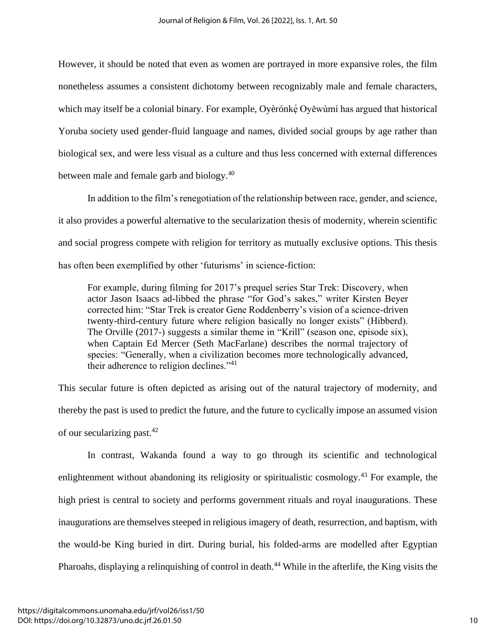However, it should be noted that even as women are portrayed in more expansive roles, the film nonetheless assumes a consistent dichotomy between recognizably male and female characters, which may itself be a colonial binary. For example, Oyèrónkę́ Oyěwùmí has argued that historical Yoruba society used gender-fluid language and names, divided social groups by age rather than biological sex, and were less visual as a culture and thus less concerned with external differences between male and female garb and biology.<sup>40</sup>

In addition to the film's renegotiation of the relationship between race, gender, and science, it also provides a powerful alternative to the secularization thesis of modernity, wherein scientific and social progress compete with religion for territory as mutually exclusive options. This thesis has often been exemplified by other 'futurisms' in science-fiction:

For example, during filming for 2017's prequel series Star Trek: Discovery, when actor Jason Isaacs ad-libbed the phrase "for God's sakes," writer Kirsten Beyer corrected him: "Star Trek is creator Gene Roddenberry's vision of a science-driven twenty-third-century future where religion basically no longer exists" (Hibberd). The Orville (2017-) suggests a similar theme in "Krill" (season one, episode six), when Captain Ed Mercer (Seth MacFarlane) describes the normal trajectory of species: "Generally, when a civilization becomes more technologically advanced, their adherence to religion declines." $41$ 

This secular future is often depicted as arising out of the natural trajectory of modernity, and thereby the past is used to predict the future, and the future to cyclically impose an assumed vision of our secularizing past.<sup>42</sup>

In contrast, Wakanda found a way to go through its scientific and technological enlightenment without abandoning its religiosity or spiritualistic cosmology.<sup>43</sup> For example, the high priest is central to society and performs government rituals and royal inaugurations. These inaugurations are themselves steeped in religious imagery of death, resurrection, and baptism, with the would-be King buried in dirt. During burial, his folded-arms are modelled after Egyptian Pharoahs, displaying a relinquishing of control in death.<sup>44</sup> While in the afterlife, the King visits the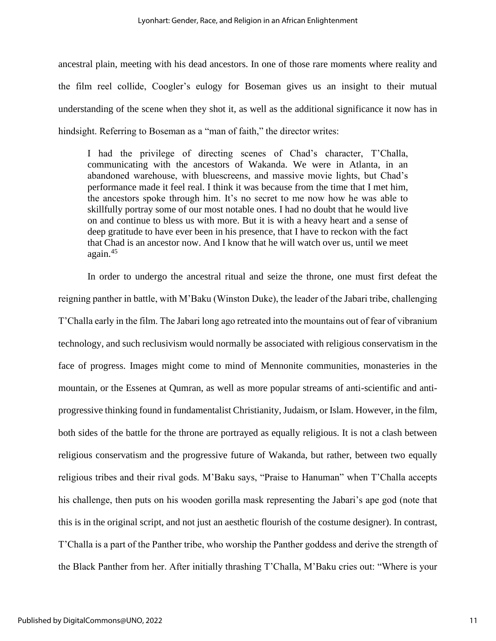ancestral plain, meeting with his dead ancestors. In one of those rare moments where reality and the film reel collide, Coogler's eulogy for Boseman gives us an insight to their mutual understanding of the scene when they shot it, as well as the additional significance it now has in hindsight. Referring to Boseman as a "man of faith," the director writes:

I had the privilege of directing scenes of Chad's character, T'Challa, communicating with the ancestors of Wakanda. We were in Atlanta, in an abandoned warehouse, with bluescreens, and massive movie lights, but Chad's performance made it feel real. I think it was because from the time that I met him, the ancestors spoke through him. It's no secret to me now how he was able to skillfully portray some of our most notable ones. I had no doubt that he would live on and continue to bless us with more. But it is with a heavy heart and a sense of deep gratitude to have ever been in his presence, that I have to reckon with the fact that Chad is an ancestor now. And I know that he will watch over us, until we meet again.<sup>45</sup>

In order to undergo the ancestral ritual and seize the throne, one must first defeat the reigning panther in battle, with M'Baku (Winston Duke), the leader of the Jabari tribe, challenging T'Challa early in the film. The Jabari long ago retreated into the mountains out of fear of vibranium technology, and such reclusivism would normally be associated with religious conservatism in the face of progress. Images might come to mind of Mennonite communities, monasteries in the mountain, or the Essenes at Qumran, as well as more popular streams of anti-scientific and antiprogressive thinking found in fundamentalist Christianity, Judaism, or Islam. However, in the film, both sides of the battle for the throne are portrayed as equally religious. It is not a clash between religious conservatism and the progressive future of Wakanda, but rather, between two equally religious tribes and their rival gods. M'Baku says, "Praise to Hanuman" when T'Challa accepts his challenge, then puts on his wooden gorilla mask representing the Jabari's ape god (note that this is in the original script, and not just an aesthetic flourish of the costume designer). In contrast, T'Challa is a part of the Panther tribe, who worship the Panther goddess and derive the strength of the Black Panther from her. After initially thrashing T'Challa, M'Baku cries out: "Where is your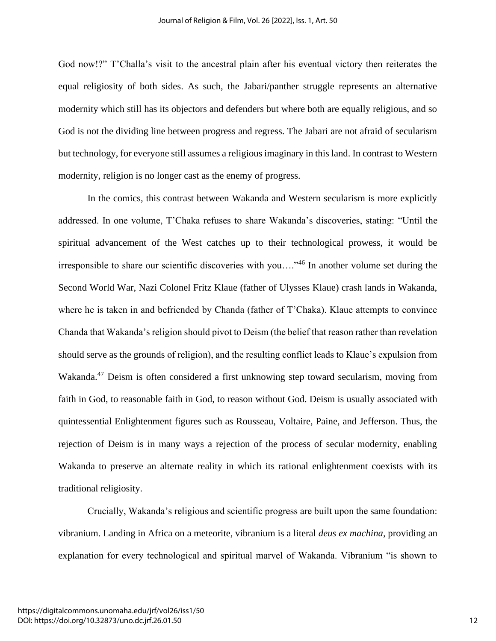God now!?" T'Challa's visit to the ancestral plain after his eventual victory then reiterates the equal religiosity of both sides. As such, the Jabari/panther struggle represents an alternative modernity which still has its objectors and defenders but where both are equally religious, and so God is not the dividing line between progress and regress. The Jabari are not afraid of secularism but technology, for everyone still assumes a religious imaginary in this land. In contrast to Western modernity, religion is no longer cast as the enemy of progress.

In the comics, this contrast between Wakanda and Western secularism is more explicitly addressed. In one volume, T'Chaka refuses to share Wakanda's discoveries, stating: "Until the spiritual advancement of the West catches up to their technological prowess, it would be irresponsible to share our scientific discoveries with you…."<sup>46</sup> In another volume set during the Second World War, Nazi Colonel Fritz Klaue (father of Ulysses Klaue) crash lands in Wakanda, where he is taken in and befriended by Chanda (father of T'Chaka). Klaue attempts to convince Chanda that Wakanda's religion should pivot to Deism (the belief that reason rather than revelation should serve as the grounds of religion), and the resulting conflict leads to Klaue's expulsion from Wakanda.<sup>47</sup> Deism is often considered a first unknowing step toward secularism, moving from faith in God, to reasonable faith in God, to reason without God. Deism is usually associated with quintessential Enlightenment figures such as Rousseau, Voltaire, Paine, and Jefferson. Thus, the rejection of Deism is in many ways a rejection of the process of secular modernity, enabling Wakanda to preserve an alternate reality in which its rational enlightenment coexists with its traditional religiosity.

Crucially, Wakanda's religious and scientific progress are built upon the same foundation: vibranium. Landing in Africa on a meteorite, vibranium is a literal *deus ex machina*, providing an explanation for every technological and spiritual marvel of Wakanda. Vibranium "is shown to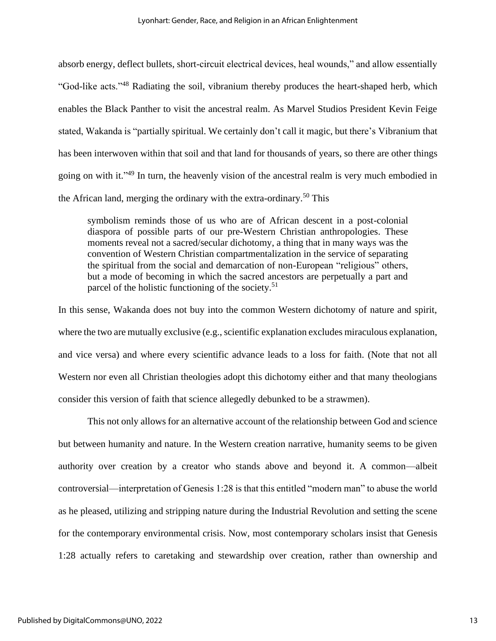absorb energy, deflect bullets, short-circuit electrical devices, heal wounds," and allow essentially "God-like acts."<sup>48</sup> Radiating the soil, vibranium thereby produces the heart-shaped herb, which enables the Black Panther to visit the ancestral realm. As Marvel Studios President Kevin Feige stated, Wakanda is "partially spiritual. We certainly don't call it magic, but there's Vibranium that has been interwoven within that soil and that land for thousands of years, so there are other things going on with it."<sup>49</sup> In turn, the heavenly vision of the ancestral realm is very much embodied in the African land, merging the ordinary with the extra-ordinary.<sup>50</sup> This

symbolism reminds those of us who are of African descent in a post-colonial diaspora of possible parts of our pre-Western Christian anthropologies. These moments reveal not a sacred/secular dichotomy, a thing that in many ways was the convention of Western Christian compartmentalization in the service of separating the spiritual from the social and demarcation of non-European "religious" others, but a mode of becoming in which the sacred ancestors are perpetually a part and parcel of the holistic functioning of the society.<sup>51</sup>

In this sense, Wakanda does not buy into the common Western dichotomy of nature and spirit, where the two are mutually exclusive (e.g., scientific explanation excludes miraculous explanation, and vice versa) and where every scientific advance leads to a loss for faith. (Note that not all Western nor even all Christian theologies adopt this dichotomy either and that many theologians consider this version of faith that science allegedly debunked to be a strawmen).

This not only allows for an alternative account of the relationship between God and science but between humanity and nature. In the Western creation narrative, humanity seems to be given authority over creation by a creator who stands above and beyond it. A common—albeit controversial—interpretation of Genesis 1:28 is that this entitled "modern man" to abuse the world as he pleased, utilizing and stripping nature during the Industrial Revolution and setting the scene for the contemporary environmental crisis. Now, most contemporary scholars insist that Genesis 1:28 actually refers to caretaking and stewardship over creation, rather than ownership and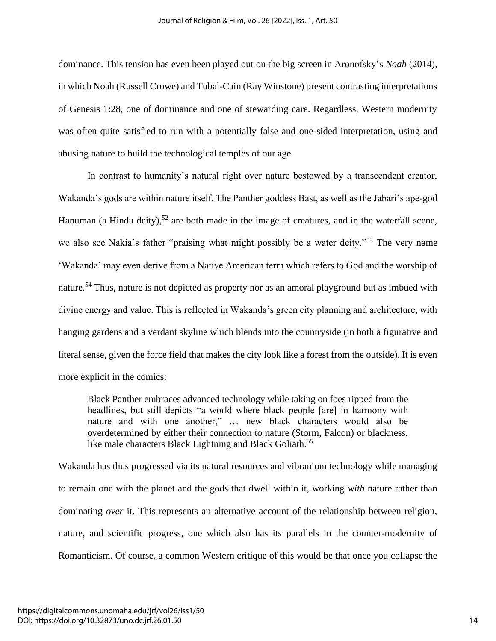dominance. This tension has even been played out on the big screen in Aronofsky's *Noah* (2014), in which Noah (Russell Crowe) and Tubal-Cain (Ray Winstone) present contrasting interpretations of Genesis 1:28, one of dominance and one of stewarding care. Regardless, Western modernity was often quite satisfied to run with a potentially false and one-sided interpretation, using and abusing nature to build the technological temples of our age.

In contrast to humanity's natural right over nature bestowed by a transcendent creator, Wakanda's gods are within nature itself. The Panther goddess Bast, as well as the Jabari's ape-god Hanuman (a Hindu deity),<sup>52</sup> are both made in the image of creatures, and in the waterfall scene, we also see Nakia's father "praising what might possibly be a water deity."<sup>53</sup> The very name 'Wakanda' may even derive from a Native American term which refers to God and the worship of nature.<sup>54</sup> Thus, nature is not depicted as property nor as an amoral playground but as imbued with divine energy and value. This is reflected in Wakanda's green city planning and architecture, with hanging gardens and a verdant skyline which blends into the countryside (in both a figurative and literal sense, given the force field that makes the city look like a forest from the outside). It is even more explicit in the comics:

Black Panther embraces advanced technology while taking on foes ripped from the headlines, but still depicts "a world where black people [are] in harmony with nature and with one another," … new black characters would also be overdetermined by either their connection to nature (Storm, Falcon) or blackness, like male characters Black Lightning and Black Goliath.<sup>55</sup>

Wakanda has thus progressed via its natural resources and vibranium technology while managing to remain one with the planet and the gods that dwell within it, working *with* nature rather than dominating *over* it. This represents an alternative account of the relationship between religion, nature, and scientific progress, one which also has its parallels in the counter-modernity of Romanticism. Of course, a common Western critique of this would be that once you collapse the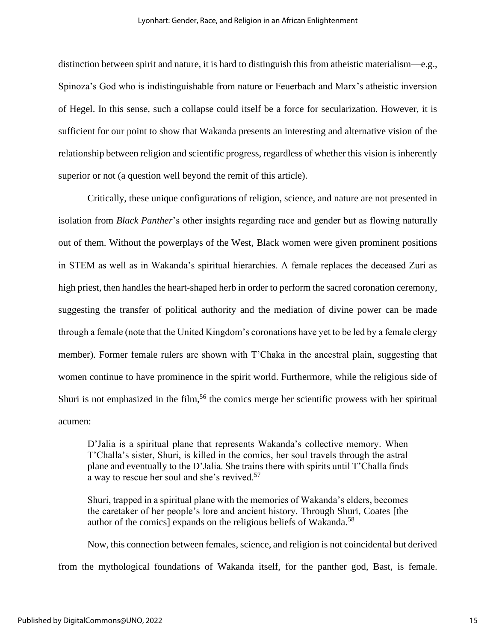distinction between spirit and nature, it is hard to distinguish this from atheistic materialism—e.g., Spinoza's God who is indistinguishable from nature or Feuerbach and Marx's atheistic inversion of Hegel. In this sense, such a collapse could itself be a force for secularization. However, it is sufficient for our point to show that Wakanda presents an interesting and alternative vision of the relationship between religion and scientific progress, regardless of whether this vision is inherently superior or not (a question well beyond the remit of this article).

Critically, these unique configurations of religion, science, and nature are not presented in isolation from *Black Panther*'s other insights regarding race and gender but as flowing naturally out of them. Without the powerplays of the West, Black women were given prominent positions in STEM as well as in Wakanda's spiritual hierarchies. A female replaces the deceased Zuri as high priest, then handles the heart-shaped herb in order to perform the sacred coronation ceremony, suggesting the transfer of political authority and the mediation of divine power can be made through a female (note that the United Kingdom's coronations have yet to be led by a female clergy member). Former female rulers are shown with T'Chaka in the ancestral plain, suggesting that women continue to have prominence in the spirit world. Furthermore, while the religious side of Shuri is not emphasized in the film,<sup>56</sup> the comics merge her scientific prowess with her spiritual acumen:

D'Jalia is a spiritual plane that represents Wakanda's collective memory. When T'Challa's sister, Shuri, is killed in the comics, her soul travels through the astral plane and eventually to the D'Jalia. She trains there with spirits until T'Challa finds a way to rescue her soul and she's revived.<sup>57</sup>

Shuri, trapped in a spiritual plane with the memories of Wakanda's elders, becomes the caretaker of her people's lore and ancient history. Through Shuri, Coates [the author of the comics] expands on the religious beliefs of Wakanda.<sup>58</sup>

Now, this connection between females, science, and religion is not coincidental but derived from the mythological foundations of Wakanda itself, for the panther god, Bast, is female.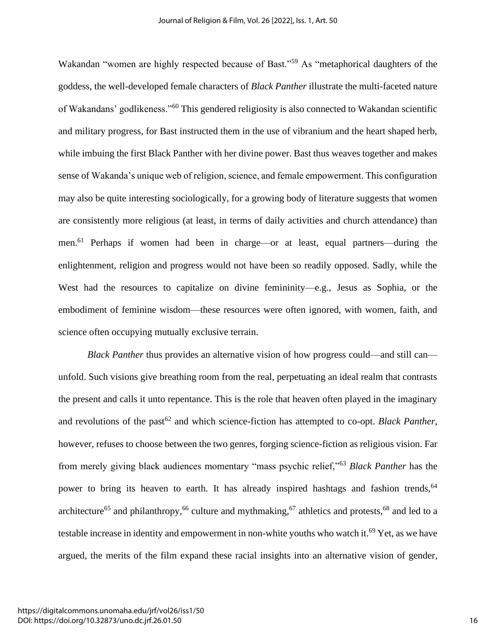Wakandan "women are highly respected because of Bast."<sup>59</sup> As "metaphorical daughters of the goddess, the well-developed female characters of *Black Panther* illustrate the multi-faceted nature of Wakandans' godlikeness."<sup>60</sup> This gendered religiosity is also connected to Wakandan scientific and military progress, for Bast instructed them in the use of vibranium and the heart shaped herb, while imbuing the first Black Panther with her divine power. Bast thus weaves together and makes sense of Wakanda's unique web of religion, science, and female empowerment. This configuration may also be quite interesting sociologically, for a growing body of literature suggests that women are consistently more religious (at least, in terms of daily activities and church attendance) than men.<sup>61</sup> Perhaps if women had been in charge—or at least, equal partners—during the enlightenment, religion and progress would not have been so readily opposed. Sadly, while the West had the resources to capitalize on divine femininity—e.g., Jesus as Sophia, or the embodiment of feminine wisdom—these resources were often ignored, with women, faith, and science often occupying mutually exclusive terrain.

*Black Panther* thus provides an alternative vision of how progress could—and still can unfold. Such visions give breathing room from the real, perpetuating an ideal realm that contrasts the present and calls it unto repentance. This is the role that heaven often played in the imaginary and revolutions of the past<sup>62</sup> and which science-fiction has attempted to co-opt. *Black Panther*, however, refuses to choose between the two genres, forging science-fiction as religious vision. Far from merely giving black audiences momentary "mass psychic relief,"<sup>63</sup> *Black Panther* has the power to bring its heaven to earth. It has already inspired hashtags and fashion trends,<sup>64</sup> architecture<sup>65</sup> and philanthropy,<sup>66</sup> culture and mythmaking,<sup>67</sup> athletics and protests,<sup>68</sup> and led to a testable increase in identity and empowerment in non-white youths who watch it.<sup>69</sup> Yet, as we have argued, the merits of the film expand these racial insights into an alternative vision of gender,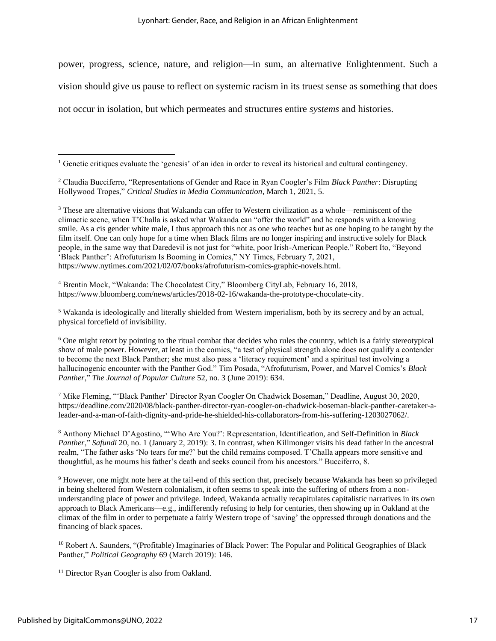power, progress, science, nature, and religion—in sum, an alternative Enlightenment. Such a

vision should give us pause to reflect on systemic racism in its truest sense as something that does

not occur in isolation, but which permeates and structures entire *systems* and histories.

<sup>3</sup> These are alternative visions that Wakanda can offer to Western civilization as a whole—reminiscent of the climactic scene, when T'Challa is asked what Wakanda can "offer the world" and he responds with a knowing smile. As a cis gender white male, I thus approach this not as one who teaches but as one hoping to be taught by the film itself. One can only hope for a time when Black films are no longer inspiring and instructive solely for Black people, in the same way that Daredevil is not just for "white, poor Irish-American People." Robert Ito, "Beyond 'Black Panther': Afrofuturism Is Booming in Comics," NY Times, February 7, 2021, https://www.nytimes.com/2021/02/07/books/afrofuturism-comics-graphic-novels.html.

<sup>4</sup> Brentin Mock, "Wakanda: The Chocolatest City," Bloomberg CityLab, February 16, 2018, https://www.bloomberg.com/news/articles/2018-02-16/wakanda-the-prototype-chocolate-city.

<sup>5</sup> Wakanda is ideologically and literally shielded from Western imperialism, both by its secrecy and by an actual, physical forcefield of invisibility.

 $6$  One might retort by pointing to the ritual combat that decides who rules the country, which is a fairly stereotypical show of male power. However, at least in the comics, "a test of physical strength alone does not qualify a contender to become the next Black Panther; she must also pass a 'literacy requirement' and a spiritual test involving a hallucinogenic encounter with the Panther God." Tim Posada, "Afrofuturism, Power, and Marvel Comics's *Black Panther*," *The Journal of Popular Culture* 52, no. 3 (June 2019): 634.

<sup>7</sup> Mike Fleming, "'Black Panther' Director Ryan Coogler On Chadwick Boseman," Deadline, August 30, 2020, https://deadline.com/2020/08/black-panther-director-ryan-coogler-on-chadwick-boseman-black-panther-caretaker-aleader-and-a-man-of-faith-dignity-and-pride-he-shielded-his-collaborators-from-his-suffering-1203027062/.

<sup>8</sup> Anthony Michael D'Agostino, "'Who Are You?': Representation, Identification, and Self-Definition in *Black Panther*," *Safundi* 20, no. 1 (January 2, 2019): 3. In contrast, when Killmonger visits his dead father in the ancestral realm, "The father asks 'No tears for me?' but the child remains composed. T'Challa appears more sensitive and thoughtful, as he mourns his father's death and seeks council from his ancestors." Bucciferro, 8.

<sup>9</sup> However, one might note here at the tail-end of this section that, precisely because Wakanda has been so privileged in being sheltered from Western colonialism, it often seems to speak into the suffering of others from a nonunderstanding place of power and privilege. Indeed, Wakanda actually recapitulates capitalistic narratives in its own approach to Black Americans—e.g., indifferently refusing to help for centuries, then showing up in Oakland at the climax of the film in order to perpetuate a fairly Western trope of 'saving' the oppressed through donations and the financing of black spaces.

<sup>10</sup> Robert A. Saunders, "(Profitable) Imaginaries of Black Power: The Popular and Political Geographies of Black Panther," *Political Geography* 69 (March 2019): 146.

<sup>11</sup> Director Ryan Coogler is also from Oakland.

<sup>&</sup>lt;sup>1</sup> Genetic critiques evaluate the 'genesis' of an idea in order to reveal its historical and cultural contingency.

<sup>2</sup> Claudia Bucciferro, "Representations of Gender and Race in Ryan Coogler's Film *Black Panther*: Disrupting Hollywood Tropes," *Critical Studies in Media Communication*, March 1, 2021, 5.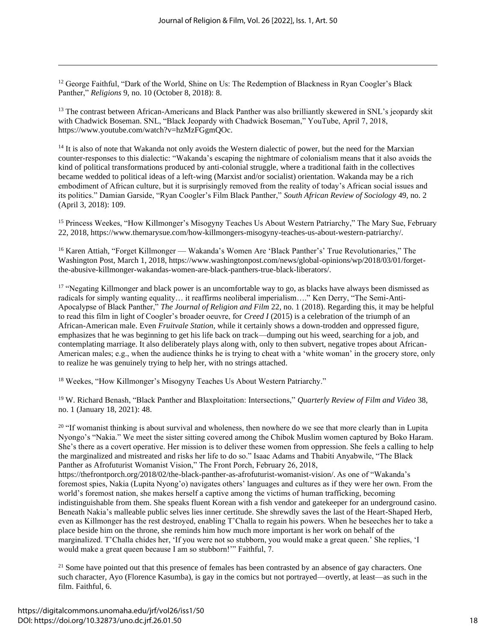$12$  George Faithful, "Dark of the World, Shine on Us: The Redemption of Blackness in Ryan Coogler's Black Panther," *Religions* 9, no. 10 (October 8, 2018): 8.

<sup>13</sup> The contrast between African-Americans and Black Panther was also brilliantly skewered in SNL's jeopardy skit with Chadwick Boseman. SNL, "Black Jeopardy with Chadwick Boseman," YouTube, April 7, 2018, https://www.youtube.com/watch?v=hzMzFGgmQOc.

<sup>14</sup> It is also of note that Wakanda not only avoids the Western dialectic of power, but the need for the Marxian counter-responses to this dialectic: "Wakanda's escaping the nightmare of colonialism means that it also avoids the kind of political transformations produced by anti-colonial struggle, where a traditional faith in the collectives became wedded to political ideas of a left-wing (Marxist and/or socialist) orientation. Wakanda may be a rich embodiment of African culture, but it is surprisingly removed from the reality of today's African social issues and its politics." Damian Garside, "Ryan Coogler's Film Black Panther," *South African Review of Sociology* 49, no. 2 (April 3, 2018): 109.

<sup>15</sup> Princess Weekes, "How Killmonger's Misogyny Teaches Us About Western Patriarchy," The Mary Sue, February 22, 2018, https://www.themarysue.com/how-killmongers-misogyny-teaches-us-about-western-patriarchy/.

<sup>16</sup> Karen Attiah, "Forget Killmonger — Wakanda's Women Are 'Black Panther's' True Revolutionaries," The Washington Post, March 1, 2018, https://www.washingtonpost.com/news/global-opinions/wp/2018/03/01/forgetthe-abusive-killmonger-wakandas-women-are-black-panthers-true-black-liberators/.

<sup>17</sup> "Negating Killmonger and black power is an uncomfortable way to go, as blacks have always been dismissed as radicals for simply wanting equality… it reaffirms neoliberal imperialism…." Ken Derry, "The Semi-Anti-Apocalypse of Black Panther," *The Journal of Religion and Film* 22, no. 1 (2018). Regarding this, it may be helpful to read this film in light of Coogler's broader oeuvre, for *Creed I* (2015) is a celebration of the triumph of an African-American male. Even *Fruitvale Station,* while it certainly shows a down-trodden and oppressed figure, emphasizes that he was beginning to get his life back on track—dumping out his weed, searching for a job, and contemplating marriage. It also deliberately plays along with, only to then subvert, negative tropes about African-American males; e.g., when the audience thinks he is trying to cheat with a 'white woman' in the grocery store, only to realize he was genuinely trying to help her, with no strings attached.

<sup>18</sup> Weekes, "How Killmonger's Misogyny Teaches Us About Western Patriarchy."

<sup>19</sup> W. Richard Benash, "Black Panther and Blaxploitation: Intersections," *Quarterly Review of Film and Video* 38, no. 1 (January 18, 2021): 48.

<sup>20</sup> "If womanist thinking is about survival and wholeness, then nowhere do we see that more clearly than in Lupita Nyongo's "Nakia." We meet the sister sitting covered among the Chibok Muslim women captured by Boko Haram. She's there as a covert operative. Her mission is to deliver these women from oppression. She feels a calling to help the marginalized and mistreated and risks her life to do so." Isaac Adams and Thabiti Anyabwile, "The Black Panther as Afrofuturist Womanist Vision," The Front Porch, February 26, 2018,

https://thefrontporch.org/2018/02/the-black-panther-as-afrofuturist-womanist-vision/. As one of "Wakanda's foremost spies, Nakia (Lupita Nyong'o) navigates others' languages and cultures as if they were her own. From the world's foremost nation, she makes herself a captive among the victims of human trafficking, becoming indistinguishable from them. She speaks fluent Korean with a fish vendor and gatekeeper for an underground casino. Beneath Nakia's malleable public selves lies inner certitude. She shrewdly saves the last of the Heart-Shaped Herb, even as Killmonger has the rest destroyed, enabling T'Challa to regain his powers. When he beseeches her to take a place beside him on the throne, she reminds him how much more important is her work on behalf of the marginalized. T'Challa chides her, 'If you were not so stubborn, you would make a great queen.' She replies, 'I would make a great queen because I am so stubborn!'" Faithful, 7.

 $21$  Some have pointed out that this presence of females has been contrasted by an absence of gay characters. One such character, Ayo (Florence Kasumba), is gay in the comics but not portrayed—overtly, at least—as such in the film. Faithful, 6.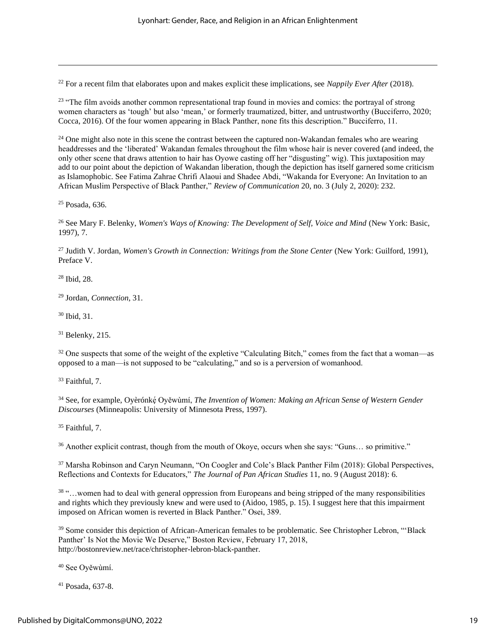<sup>22</sup> For a recent film that elaborates upon and makes explicit these implications, see *Nappily Ever After* (2018).

<sup>23</sup> "The film avoids another common representational trap found in movies and comics: the portrayal of strong women characters as 'tough' but also 'mean,' or formerly traumatized, bitter, and untrustworthy (Bucciferro, 2020; Cocca, 2016). Of the four women appearing in Black Panther, none fits this description." Bucciferro, 11.

 $24$  One might also note in this scene the contrast between the captured non-Wakandan females who are wearing headdresses and the 'liberated' Wakandan females throughout the film whose hair is never covered (and indeed, the only other scene that draws attention to hair has Oyowe casting off her "disgusting" wig). This juxtaposition may add to our point about the depiction of Wakandan liberation, though the depiction has itself garnered some criticism as Islamophobic. See Fatima Zahrae Chrifi Alaoui and Shadee Abdi, "Wakanda for Everyone: An Invitation to an African Muslim Perspective of Black Panther," *Review of Communication* 20, no. 3 (July 2, 2020): 232.

<sup>25</sup> Posada, 636.

<sup>26</sup> See Mary F. Belenky, *Women's Ways of Knowing: The Development of Self, Voice and Mind* (New York: Basic, 1997), 7.

<sup>27</sup> Judith V. Jordan, *Women's Growth in Connection: Writings from the Stone Center* (New York: Guilford, 1991), Preface V.

<sup>28</sup> Ibid, 28.

<sup>29</sup> Jordan, *Connection*, 31.

<sup>30</sup> Ibid, 31.

 $31$  Belenky, 215.

<sup>32</sup> One suspects that some of the weight of the expletive "Calculating Bitch," comes from the fact that a woman—as opposed to a man—is not supposed to be "calculating," and so is a perversion of womanhood.

<sup>33</sup> Faithful, 7.

<sup>34</sup> See, for example, Oyèrónkę́ Oyěwùmí, *The Invention of Women: Making an African Sense of Western Gender Discourses* (Minneapolis: University of Minnesota Press, 1997).

<sup>35</sup> Faithful, 7.

<sup>36</sup> Another explicit contrast, though from the mouth of Okoye, occurs when she says: "Guns… so primitive."

<sup>37</sup> Marsha Robinson and Caryn Neumann, "On Coogler and Cole's Black Panther Film (2018): Global Perspectives, Reflections and Contexts for Educators," *The Journal of Pan African Studies* 11, no. 9 (August 2018): 6.

<sup>38</sup> "…women had to deal with general oppression from Europeans and being stripped of the many responsibilities and rights which they previously knew and were used to (Aidoo, 1985, p. 15). I suggest here that this impairment imposed on African women is reverted in Black Panther." Osei, 389.

<sup>39</sup> Some consider this depiction of African-American females to be problematic. See Christopher Lebron, "'Black Panther' Is Not the Movie We Deserve," Boston Review, February 17, 2018, http://bostonreview.net/race/christopher-lebron-black-panther.

<sup>40</sup> See Oyěwùmí.

<sup>41</sup> Posada, 637-8.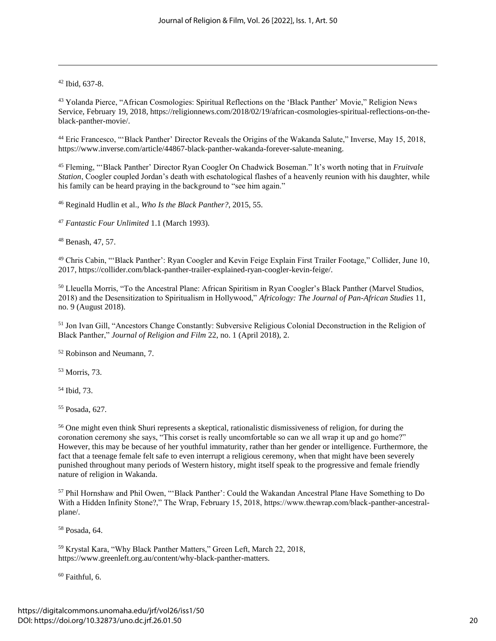#### $42$  Ibid, 637-8.

<sup>43</sup> Yolanda Pierce, "African Cosmologies: Spiritual Reflections on the 'Black Panther' Movie," Religion News Service, February 19, 2018, https://religionnews.com/2018/02/19/african-cosmologies-spiritual-reflections-on-theblack-panther-movie/.

<sup>44</sup> Eric Francesco, "'Black Panther' Director Reveals the Origins of the Wakanda Salute," Inverse, May 15, 2018, https://www.inverse.com/article/44867-black-panther-wakanda-forever-salute-meaning.

<sup>45</sup> Fleming, "'Black Panther' Director Ryan Coogler On Chadwick Boseman." It's worth noting that in *Fruitvale Station*, Coogler coupled Jordan's death with eschatological flashes of a heavenly reunion with his daughter, while his family can be heard praying in the background to "see him again."

<sup>46</sup> Reginald Hudlin et al., *Who Is the Black Panther?*, 2015, 55.

<sup>47</sup> *Fantastic Four Unlimited* 1.1 (March 1993).

<sup>48</sup> Benash, 47, 57.

<sup>49</sup> Chris Cabin, "'Black Panther': Ryan Coogler and Kevin Feige Explain First Trailer Footage," Collider, June 10, 2017, https://collider.com/black-panther-trailer-explained-ryan-coogler-kevin-feige/.

<sup>50</sup> Lleuella Morris, "To the Ancestral Plane: African Spiritism in Ryan Coogler's Black Panther (Marvel Studios, 2018) and the Desensitization to Spiritualism in Hollywood," *Africology: The Journal of Pan-African Studies* 11, no. 9 (August 2018).

<sup>51</sup> Jon Ivan Gill, "Ancestors Change Constantly: Subversive Religious Colonial Deconstruction in the Religion of Black Panther," *Journal of Religion and Film* 22, no. 1 (April 2018), 2.

<sup>52</sup> Robinson and Neumann, 7.

<sup>53</sup> Morris, 73.

<sup>54</sup> Ibid, 73.

<sup>55</sup> Posada, 627.

<sup>56</sup> One might even think Shuri represents a skeptical, rationalistic dismissiveness of religion, for during the coronation ceremony she says, "This corset is really uncomfortable so can we all wrap it up and go home?" However, this may be because of her youthful immaturity, rather than her gender or intelligence. Furthermore, the fact that a teenage female felt safe to even interrupt a religious ceremony, when that might have been severely punished throughout many periods of Western history, might itself speak to the progressive and female friendly nature of religion in Wakanda.

<sup>57</sup> Phil Hornshaw and Phil Owen, "'Black Panther': Could the Wakandan Ancestral Plane Have Something to Do With a Hidden Infinity Stone?," The Wrap, February 15, 2018, https://www.thewrap.com/black-panther-ancestralplane/.

<sup>58</sup> Posada, 64.

<sup>59</sup> Krystal Kara, "Why Black Panther Matters," Green Left, March 22, 2018, https://www.greenleft.org.au/content/why-black-panther-matters.

 $60$  Faithful, 6.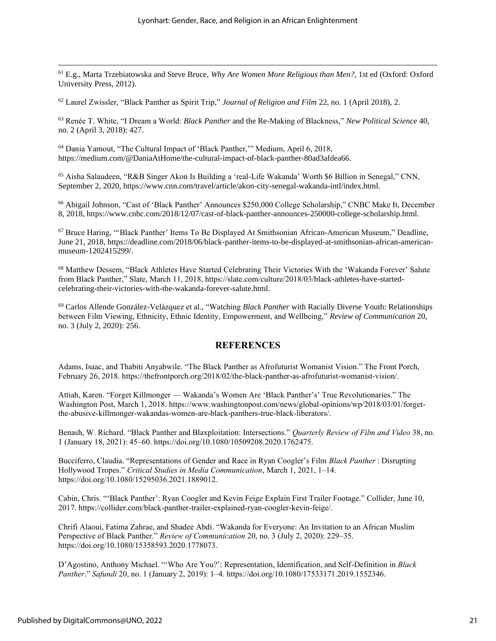<sup>61</sup> E.g., Marta Trzebiatowska and Steve Bruce, *Why Are Women More Religious than Men?*, 1st ed (Oxford: Oxford University Press, 2012).

<sup>62</sup> Laurel Zwissler, "Black Panther as Spirit Trip," *Journal of Religion and Film* 22, no. 1 (April 2018), 2.

<sup>63</sup> Renée T. White, "I Dream a World: *Black Panther* and the Re-Making of Blackness," *New Political Science* 40, no. 2 (April 3, 2018): 427.

<sup>64</sup> Dania Yamout, "The Cultural Impact of 'Black Panther,'" Medium, April 6, 2018, https://medium.com/@DaniaAtHome/the-cultural-impact-of-black-panther-80ad3afdea66.

<sup>65</sup> Aisha Salaudeen, "R&B Singer Akon Is Building a 'real-Life Wakanda' Worth \$6 Billion in Senegal," CNN, September 2, 2020, https://www.cnn.com/travel/article/akon-city-senegal-wakanda-intl/index.html.

<sup>66</sup> Abigail Johnson, "Cast of 'Black Panther' Announces \$250,000 College Scholarship," CNBC Make It, December 8, 2018, https://www.cnbc.com/2018/12/07/cast-of-black-panther-announces-250000-college-scholarship.html.

<sup>67</sup> Bruce Haring, "'Black Panther' Items To Be Displayed At Smithsonian African-American Museum," Deadline, June 21, 2018, https://deadline.com/2018/06/black-panther-items-to-be-displayed-at-smithsonian-african-americanmuseum-1202415299/.

<sup>68</sup> Matthew Dessem, "Black Athletes Have Started Celebrating Their Victories With the 'Wakanda Forever' Salute from Black Panther," Slate, March 11, 2018, https://slate.com/culture/2018/03/black-athletes-have-startedcelebrating-their-victories-with-the-wakanda-forever-salute.html.

<sup>69</sup> Carlos Allende González-Velázquez et al., "Watching *Black Panther* with Racially Diverse Youth: Relationships between Film Viewing, Ethnicity, Ethnic Identity, Empowerment, and Wellbeing," *Review of Communication* 20, no. 3 (July 2, 2020): 256.

#### **REFERENCES**

Adams, Isaac, and Thabiti Anyabwile. "The Black Panther as Afrofuturist Womanist Vision." The Front Porch, February 26, 2018. https://thefrontporch.org/2018/02/the-black-panther-as-afrofuturist-womanist-vision/.

Attiah, Karen. "Forget Killmonger — Wakanda's Women Are 'Black Panther's' True Revolutionaries." The Washington Post, March 1, 2018. https://www.washingtonpost.com/news/global-opinions/wp/2018/03/01/forgetthe-abusive-killmonger-wakandas-women-are-black-panthers-true-black-liberators/.

Benash, W. Richard. "Black Panther and Blaxploitation: Intersections." *Quarterly Review of Film and Video* 38, no. 1 (January 18, 2021): 45–60. https://doi.org/10.1080/10509208.2020.1762475.

Bucciferro, Claudia. "Representations of Gender and Race in Ryan Coogler's Film *Black Panther* : Disrupting Hollywood Tropes." *Critical Studies in Media Communication*, March 1, 2021, 1–14. https://doi.org/10.1080/15295036.2021.1889012.

Cabin, Chris. "'Black Panther': Ryan Coogler and Kevin Feige Explain First Trailer Footage." Collider, June 10, 2017. https://collider.com/black-panther-trailer-explained-ryan-coogler-kevin-feige/.

Chrifi Alaoui, Fatima Zahrae, and Shadee Abdi. "Wakanda for Everyone: An Invitation to an African Muslim Perspective of Black Panther." *Review of Communication* 20, no. 3 (July 2, 2020): 229–35. https://doi.org/10.1080/15358593.2020.1778073.

D'Agostino, Anthony Michael. "'Who Are You?': Representation, Identification, and Self-Definition in *Black Panther*." *Safundi* 20, no. 1 (January 2, 2019): 1–4. https://doi.org/10.1080/17533171.2019.1552346.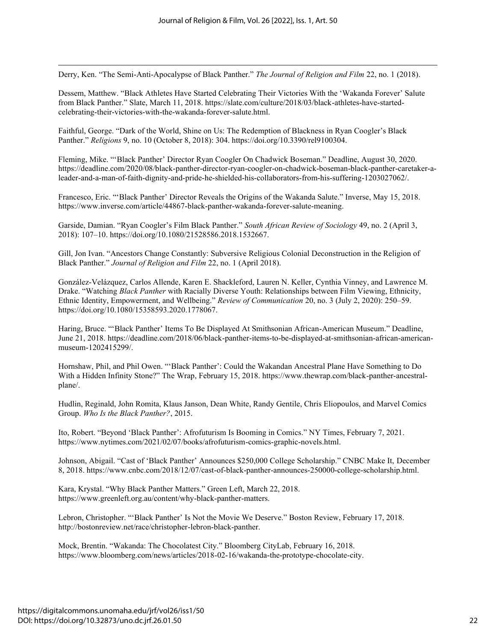Derry, Ken. "The Semi-Anti-Apocalypse of Black Panther." *The Journal of Religion and Film* 22, no. 1 (2018).

Dessem, Matthew. "Black Athletes Have Started Celebrating Their Victories With the 'Wakanda Forever' Salute from Black Panther." Slate, March 11, 2018. https://slate.com/culture/2018/03/black-athletes-have-startedcelebrating-their-victories-with-the-wakanda-forever-salute.html.

Faithful, George. "Dark of the World, Shine on Us: The Redemption of Blackness in Ryan Coogler's Black Panther." *Religions* 9, no. 10 (October 8, 2018): 304. https://doi.org/10.3390/rel9100304.

Fleming, Mike. "'Black Panther' Director Ryan Coogler On Chadwick Boseman." Deadline, August 30, 2020. https://deadline.com/2020/08/black-panther-director-ryan-coogler-on-chadwick-boseman-black-panther-caretaker-aleader-and-a-man-of-faith-dignity-and-pride-he-shielded-his-collaborators-from-his-suffering-1203027062/.

Francesco, Eric. "'Black Panther' Director Reveals the Origins of the Wakanda Salute." Inverse, May 15, 2018. https://www.inverse.com/article/44867-black-panther-wakanda-forever-salute-meaning.

Garside, Damian. "Ryan Coogler's Film Black Panther." *South African Review of Sociology* 49, no. 2 (April 3, 2018): 107–10. https://doi.org/10.1080/21528586.2018.1532667.

Gill, Jon Ivan. "Ancestors Change Constantly: Subversive Religious Colonial Deconstruction in the Religion of Black Panther." *Journal of Religion and Film* 22, no. 1 (April 2018).

González-Velázquez, Carlos Allende, Karen E. Shackleford, Lauren N. Keller, Cynthia Vinney, and Lawrence M. Drake. "Watching *Black Panther* with Racially Diverse Youth: Relationships between Film Viewing, Ethnicity, Ethnic Identity, Empowerment, and Wellbeing." *Review of Communication* 20, no. 3 (July 2, 2020): 250–59. https://doi.org/10.1080/15358593.2020.1778067.

Haring, Bruce. "'Black Panther' Items To Be Displayed At Smithsonian African-American Museum." Deadline, June 21, 2018. https://deadline.com/2018/06/black-panther-items-to-be-displayed-at-smithsonian-african-americanmuseum-1202415299/.

Hornshaw, Phil, and Phil Owen. "'Black Panther': Could the Wakandan Ancestral Plane Have Something to Do With a Hidden Infinity Stone?" The Wrap, February 15, 2018. https://www.thewrap.com/black-panther-ancestralplane/.

Hudlin, Reginald, John Romita, Klaus Janson, Dean White, Randy Gentile, Chris Eliopoulos, and Marvel Comics Group. *Who Is the Black Panther?*, 2015.

Ito, Robert. "Beyond 'Black Panther': Afrofuturism Is Booming in Comics." NY Times, February 7, 2021. https://www.nytimes.com/2021/02/07/books/afrofuturism-comics-graphic-novels.html.

Johnson, Abigail. "Cast of 'Black Panther' Announces \$250,000 College Scholarship." CNBC Make It, December 8, 2018. https://www.cnbc.com/2018/12/07/cast-of-black-panther-announces-250000-college-scholarship.html.

Kara, Krystal. "Why Black Panther Matters." Green Left, March 22, 2018. https://www.greenleft.org.au/content/why-black-panther-matters.

Lebron, Christopher. "'Black Panther' Is Not the Movie We Deserve." Boston Review, February 17, 2018. http://bostonreview.net/race/christopher-lebron-black-panther.

Mock, Brentin. "Wakanda: The Chocolatest City." Bloomberg CityLab, February 16, 2018. https://www.bloomberg.com/news/articles/2018-02-16/wakanda-the-prototype-chocolate-city.